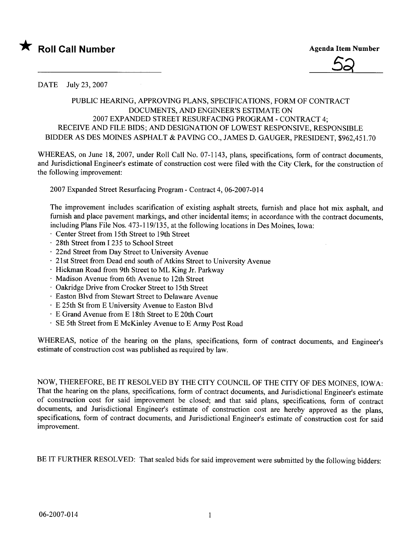



DATE July 23,2007

## PUBLIC HEARING, APPROVING PLANS, SPECIFICATIONS, FORM OF CONTRACT DOCUMENTS, AND ENGINEER'S ESTIMATE ON 2007 EXPANDED STREET RESURFACING PROGRAM - CONTRACT 4; RECEIVE AND FILE BIDS; AND DESIGNATION OF LOWEST RESPONSIVE, RESPONSIBLE BIDDER AS DES MOINES ASPHALT & PAVING CO., JAMES D. GAUGER, PRESIDENT, \$962,451.70

WHEREAS, on June 18, 2007, under Roll Call No. 07-1143, plans, specifications, form of contract documents, and Jurisdictional Engineer's estimate of construction cost were fied with the City Clerk, for the construction of the following improvement:

2007 Expanded Street Resurfacing Program - Contract 4,06-2007-014

The improvement includes scarification of existing asphalt streets, furnish and place hot mix asphalt, and furnish and place pavement markings, and other incidental items; in accordance with the contract documents, including Plans File Nos. 473-119/135, at the following locations in Des Moines, Iowa:

- Center Street from 15th Street to 19th Street
- 28th Street from I 235 to School Street
- 22nd Street from Day Street to University Avenue
- 21st Street from Dead end south of Atkins Street to University Avenue
- Hickman Road from 9th Street to ML King Jr. Parkway
- Madison Avenue from 6th Avenue to 12th Street
- Oakridge Drive from Crocker Street to 15th Street
- Easton Blvd from Stewart Street to Delaware Avenue
- E 25th St from E University Avenue to Easton Blvd
- E Grand Avenue from E 18th Street to E 20th Court
- SE 5th Street from E McKinley Avenue to E Army Post Road

WHREAS, notice of the hearing on the plans, specifications, form of contract documents, and Engineer's estimate of construction cost was published as required by law.

NOW, THEREFORE, BE IT RESOLVED BY THE CITY COUNCIL OF THE CITY OF DES MOINES, IOWA: That the hearing on the plans, specifications, form of contract documents, and Jurisdictional Engineer's estimate of construction cost for said improvement be closed; and that said plans, specifications, form of contract documents, and Jurisdictional Engineer's estimate of construction cost are hereby approved as the plans, specifications, form of contract documents, and Jurisdictional Engineer's estimate of construction cost for said improvement.

BE IT FURTHER RESOLVED: That sealed bids for said improvement were submitted by the following bidders: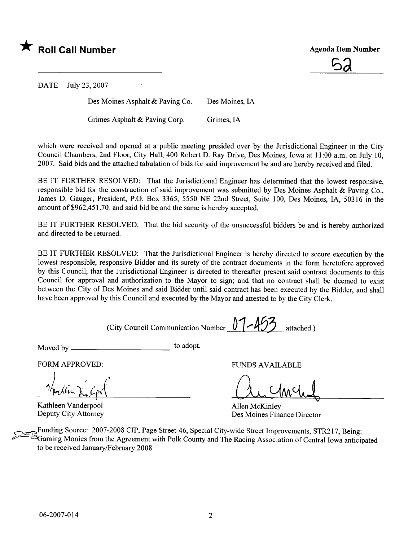

<u>52</u>

DATE July 23, 2007

Des Moines Asphalt & Paving Co. Des Moines, IA

Grimes Asphalt & Paving Corp. Grimes, IA

which were received and opened at a public meeting presided over by the Jurisdictional Engineer in the City Council Chambers, 2nd Floor, City Hall, 400 Robert D. Ray Drive, Des Moines, Iowa at 11 :00 a.m. on July 10, 2007. Said bids and the attached tabulation of bids for said improvement be and are hereby received and fied.

BE IT FURTHER RESOLVED: That the Jurisdictional Engineer has determined that the lowest responsive, responsible bid for the construction of said improvement was submitted by Des Moines Asphalt & Paving Co., James D. Gauger, President, P.O. Box 3365, 5550 NE 22nd Street, Suite 100, Des Moines, lA, 50316 in the amount of \$962,451.70, and said bid be and the same is hereby accepted.

BE IT FURTHER RESOLVED: That the bid security of the unsuccessful bidders be and is hereby authorized and directed to be returned.

BE IT FURTHER RESOLVED: That the Jurisdictional Engineer is hereby directed to secure execution by the lowest responsible, responsive Bidder and its surety of the contract documents in the form heretofore approved by this Council; that the Jurisdictional Engineer is directed to thereafter present said contract documents to this Council for approval and authorization to the Mayor to sign; and that no contract shall be deemed to exist between the City of Des Moines and said Bidder until said contract has been executed by the Bidder, and shall have been approved by this Council and executed by the Mayor and attested to by the City Clerk.

(City Council Communication Number <u>U</u> | **433** attached.)

Moved by to adopt.

FORM APPROVED:

Kathleen Vanderpool Deputy City Attorney

FUNDS AVAILABLE

Au Chile

Allen McKinley Des Moines Finance Director

Funding Source: 2007-2008 CIP, Page Street-46, Special City-wide Street Improvements, STR217, Being: <sup>S</sup>Gaming Monies from the Agreement with Polk County and The Racing Association of Central Iowa anticipated to be received January/February 2008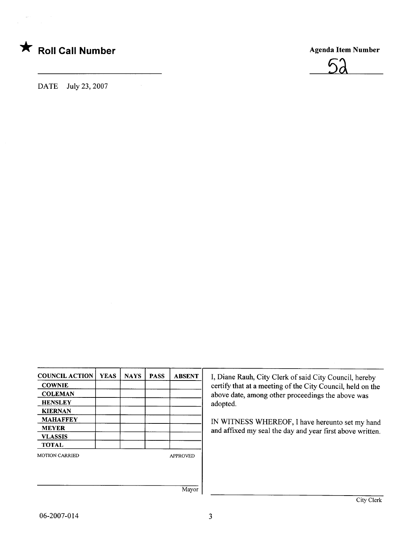



DATE July 23, 2007

 $\bar{z}$ 

| <b>COUNCIL ACTION</b> | <b>YEAS</b> | <b>NAYS</b> | <b>PASS</b> | <b>ABSENT</b>   |
|-----------------------|-------------|-------------|-------------|-----------------|
| <b>COWNIE</b>         |             |             |             |                 |
| <b>COLEMAN</b>        |             |             |             |                 |
| <b>HENSLEY</b>        |             |             |             |                 |
| <b>KIERNAN</b>        |             |             |             |                 |
| <b>MAHAFFEY</b>       |             |             |             |                 |
| <b>MEYER</b>          |             |             |             |                 |
| <b>VLASSIS</b>        |             |             |             |                 |
| <b>TOTAL</b>          |             |             |             |                 |
| <b>MOTION CARRIED</b> |             |             |             | <b>APPROVED</b> |
|                       |             |             |             |                 |
|                       |             |             |             |                 |
|                       |             |             |             | Mayor           |

I, Diane Rauh, City Clerk of said City Council, hereby certify that at a meeting of the City Council, held on the above date, among other proceedings the above was adopted.

IN WITNESS WHEREOF, I have hereunto set my hand and affixed my seal the day and year first above written.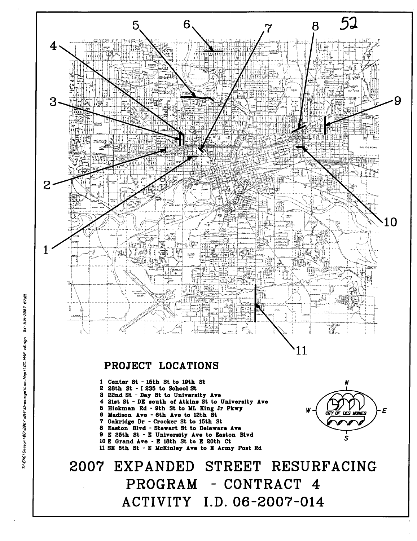